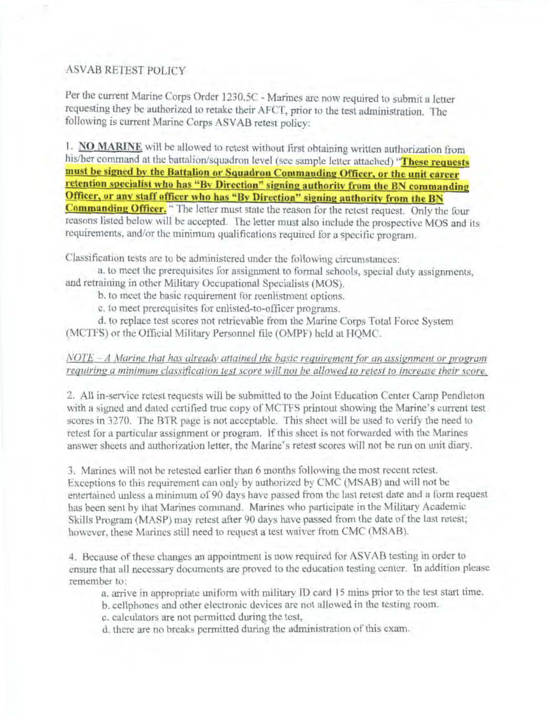# **ASVAB RETEST POLICY**

Per the current Marine Corps Order 1230.5C - Marines are now required to submit a letter requesting they be authorized to retake their AFCT, prior to the test administration. The following is current Marine Corps ASVAB retest policy:

1. NO MARINE will be allowed to retest without first obtaining written authorization from his/her command at the battalion/squadron level (see sample letter attached) "These requests must be signed by the Battalion or Squadron Commanding Officer, or the unit career retention specialist who has "By Direction" signing authority from the BN commanding Officer, or any staff officer who has "By Direction" signing authority from the BN **Commanding Officer.** " The letter must state the reason for the retest request. Only the four reasons listed below will be accepted. The letter must also include the prospective MOS and its requirements, and/or the minimum qualifications required for a specific program.

Classification tests are to be administered under the following circumstances:

a. to meet the prerequisites for assignment to formal schools, special duty assignments. and retraining in other Military Occupational Specialists (MOS).

b, to meet the basic requirement for reenlistment options.

c, to meet prerequisites for enlisted-to-officer programs.

d. to replace test scores not retrievable from the Marine Corps Total Force System (MCTFS) or the Official Military Personnel file (OMPF) held at HQMC.

## $NOTE - A$  Marine that has already attained the basic requirement for an assignment or program requiring a minimum classification test score will not be allowed to retest to increase their score.

2. All in-service retest requests will be submitted to the Joint Education Center Camp Pendleton with a signed and dated certified true copy of MCTFS printout showing the Marine's current test scores in 3270. The BTR page is not acceptable. This sheet will be used to verify the need to retest for a particular assignment or program. If this sheet is not forwarded with the Marines answer sheets and authorization letter, the Marine's retest scores will not be run on unit diary.

3. Marines will not be retested earlier than 6 months following the most recent retest. Exceptions to this requirement can only by authorized by CMC (MSAB) and will not be entertained unless a minimum of 90 days have passed from the last retest date and a form request has been sent by that Marines command. Marines who participate in the Military Academic Skills Program (MASP) may retest after 90 days have passed from the date of the last retest; however, these Marines still need to request a test waiver from CMC (MSAB).

4. Because of these changes an appointment is now required for ASVAB testing in order to ensure that all necessary documents are proved to the education testing center. In addition please remember to:

a. arrive in appropriate uniform with military ID card 15 mins prior to the test start time.

b. cellphones and other electronic devices are not allowed in the testing room.

c. calculators are not permitted during the test,

d, there are no breaks permitted during the administration of this exam.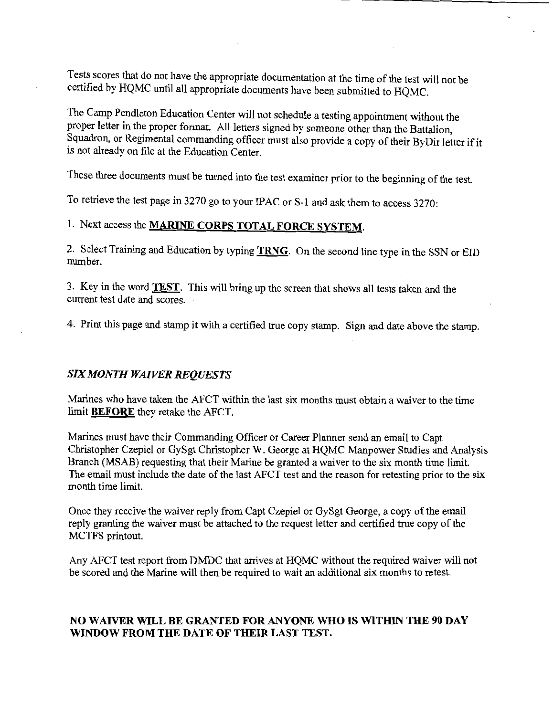Tests scores that do not have the appropriate documentation at the time of the test will not be certified by HQMC until all appropriate documents have been submitted to HQMC.

The Camp Pendleton Education Center will not schedule a testing appointment without the proper letter in the proper format. All letters signed by someone other than the Battalion, Squadron, or Regimental commanding officer must also provide a copy oftheir ByDir letter if it is not already on file at the Education Center.

These three documents must be turned into the test examiner prior to the beginning of the test.

To retrieve the test page in 3270 go to your IPAC or S-1 and ask them to access 3270:

# 1. Next access the **MARINE CORPS TOTAL FORCE SYSTEM.**

2. Select Training and Education by typing **TRNG.** On the second line type in the SSN or EID number.

3. Key in the word **TEST.** This will bring up the screen that shows all tests taken and the current test date and scores.

4. Print this page and stamp it with a certified true copy stamp. Sign and date above the stamp.

#### *SIX MONTH WAIVER REQUESTS*

Marines who have taken the AFCT within the last six months must obtain a waiver to the time limit **BEFORE** they retake the AFCT.

Marines must have their Commanding Officer or Career Planner send an email to Capt Christopher Czepiel or GySgt Christopher W. George at HQMC Manpower Studies and Analysis Branch (MSAB) requesting that their Marine be granted a waiver to the six month time limit. The email must include the date of the last AFCT test and the reason for retesting prior to the six month time limit.

Once they receive the waiver reply from Capt Czepiel or GySgt George, a copy of the email reply granting the waiver must be attached to the request letter and certified true copy of the MCTFS printout.

Any AFCT test report from DMDC that arrives at HQMC without the required waiver will not be scored and the Marine will then be required to wait an additional six months to retest.

### **NO WAIVER WILL BE GRANTED FOR ANYONE WHO IS WITHIN THE 90 DAY WINDOW FROM THE DATE OF THEIR LAST TEST.**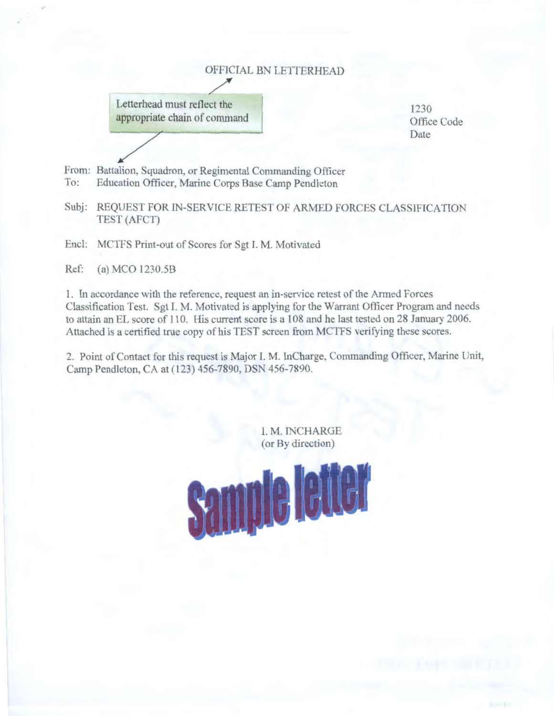# OFFICIAL BN LEITERHEAD



1230 Office Code Date

From: Battalion, Squadron, or Regimental Commanding Officer To: Education Officer, Marine Corps Base Camp Pendleton

Subj: REQUEST FOR IN-SERVICE RETEST OF ARMED FORCES CLASSIFICATION TEST(AFCT)

Encl: MCTFS Print-out of Scores for Sgt I. M. Motivated

Ref: (a) MCO l230.5B

I. In accordance with the reference. request an in-service retest of the Armed Forces Classification Test. Sgt l. M. Motivated is applying for the Warrant Officer Program and needs to attain an EL score of 110. His current score is a 108 and he last tested on 28 January 2006. Attached is a certified true copy of his TEST screen from MCTFS verifying these scores.

2. Point of Contact for this request is Major I. M. InCharge, Commanding Officer, Marine Unit, Camp Pendleton, CA at ( 123) 456-7890, DSN 456-7890.

> I. M. INCHARGE (or By direction)